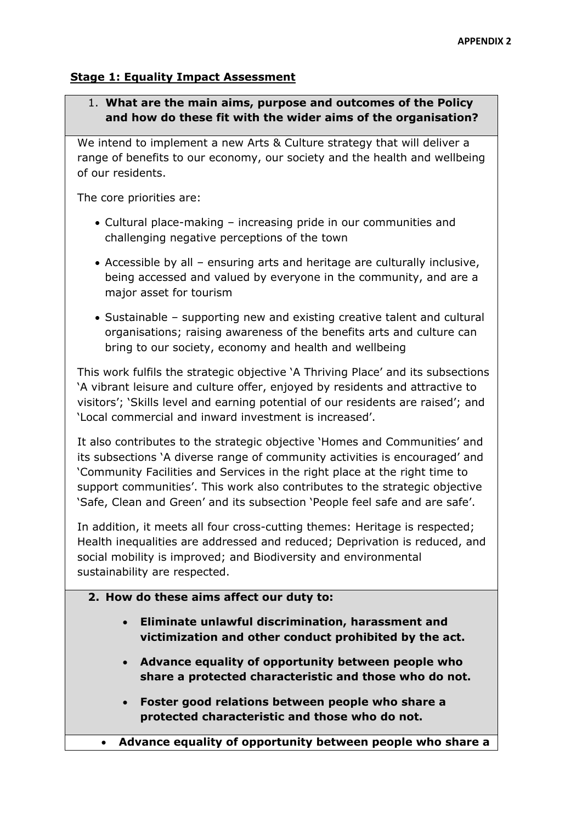## **Stage 1: Equality Impact Assessment**

# 1. **What are the main aims, purpose and outcomes of the Policy and how do these fit with the wider aims of the organisation?**

We intend to implement a new Arts & Culture strategy that will deliver a range of benefits to our economy, our society and the health and wellbeing of our residents.

The core priorities are:

- Cultural place-making increasing pride in our communities and challenging negative perceptions of the town
- Accessible by all ensuring arts and heritage are culturally inclusive, being accessed and valued by everyone in the community, and are a major asset for tourism
- Sustainable supporting new and existing creative talent and cultural organisations; raising awareness of the benefits arts and culture can bring to our society, economy and health and wellbeing

This work fulfils the strategic objective 'A Thriving Place' and its subsections 'A vibrant leisure and culture offer, enjoyed by residents and attractive to visitors'; 'Skills level and earning potential of our residents are raised'; and 'Local commercial and inward investment is increased'.

It also contributes to the strategic objective 'Homes and Communities' and its subsections 'A diverse range of community activities is encouraged' and 'Community Facilities and Services in the right place at the right time to support communities'. This work also contributes to the strategic objective 'Safe, Clean and Green' and its subsection 'People feel safe and are safe'.

In addition, it meets all four cross-cutting themes: Heritage is respected; Health inequalities are addressed and reduced; Deprivation is reduced, and social mobility is improved; and Biodiversity and environmental sustainability are respected.

- **2. How do these aims affect our duty to:**
	- **Eliminate unlawful discrimination, harassment and victimization and other conduct prohibited by the act.**
	- **Advance equality of opportunity between people who share a protected characteristic and those who do not.**
	- **Foster good relations between people who share a protected characteristic and those who do not.**
	- **Advance equality of opportunity between people who share a**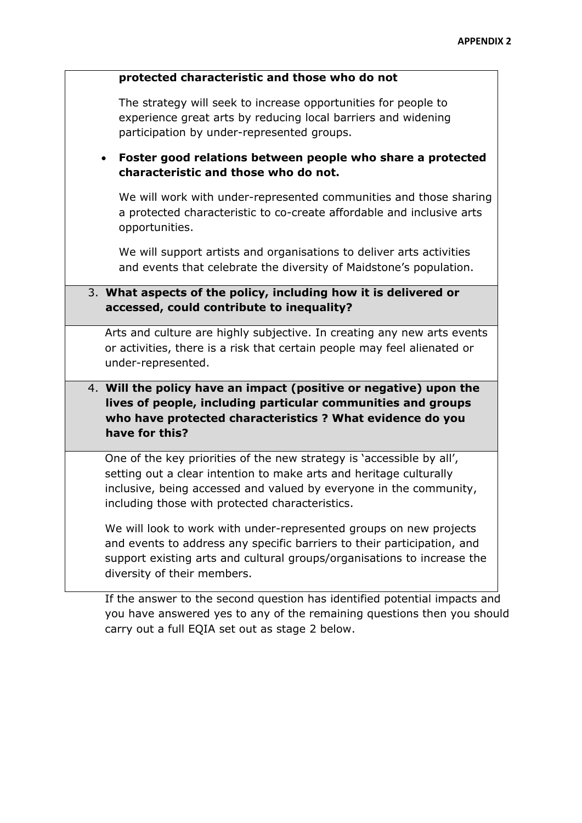#### **protected characteristic and those who do not**

The strategy will seek to increase opportunities for people to experience great arts by reducing local barriers and widening participation by under-represented groups.

# **Foster good relations between people who share a protected characteristic and those who do not.**

We will work with under-represented communities and those sharing a protected characteristic to co-create affordable and inclusive arts opportunities.

We will support artists and organisations to deliver arts activities and events that celebrate the diversity of Maidstone's population.

# 3. **What aspects of the policy, including how it is delivered or accessed, could contribute to inequality?**

Arts and culture are highly subjective. In creating any new arts events or activities, there is a risk that certain people may feel alienated or under-represented.

# 4. **Will the policy have an impact (positive or negative) upon the lives of people, including particular communities and groups who have protected characteristics ? What evidence do you have for this?**

One of the key priorities of the new strategy is 'accessible by all', setting out a clear intention to make arts and heritage culturally inclusive, being accessed and valued by everyone in the community, including those with protected characteristics.

We will look to work with under-represented groups on new projects and events to address any specific barriers to their participation, and support existing arts and cultural groups/organisations to increase the diversity of their members.

If the answer to the second question has identified potential impacts and you have answered yes to any of the remaining questions then you should carry out a full EQIA set out as stage 2 below.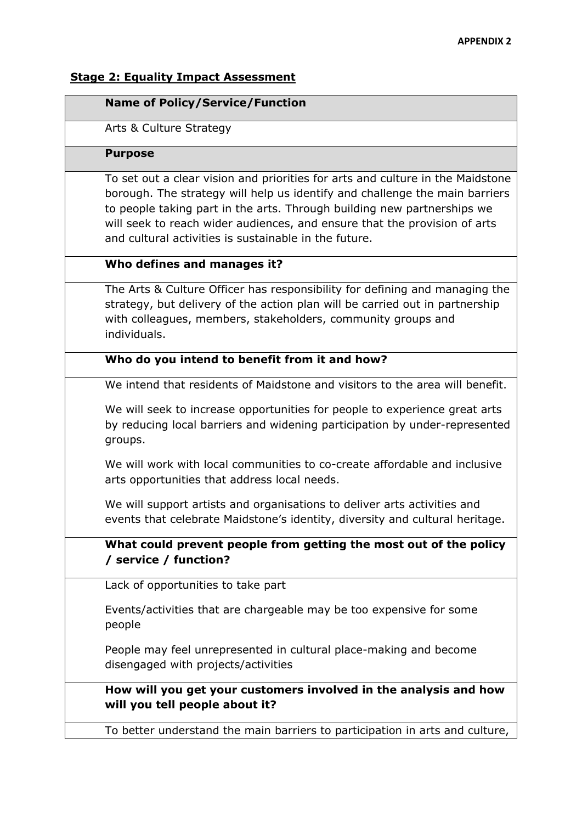## **Stage 2: Equality Impact Assessment**

### **Name of Policy/Service/Function**

Arts & Culture Strategy

### **Purpose**

To set out a clear vision and priorities for arts and culture in the Maidstone borough. The strategy will help us identify and challenge the main barriers to people taking part in the arts. Through building new partnerships we will seek to reach wider audiences, and ensure that the provision of arts and cultural activities is sustainable in the future.

## **Who defines and manages it?**

The Arts & Culture Officer has responsibility for defining and managing the strategy, but delivery of the action plan will be carried out in partnership with colleagues, members, stakeholders, community groups and individuals.

# **Who do you intend to benefit from it and how?**

We intend that residents of Maidstone and visitors to the area will benefit.

We will seek to increase opportunities for people to experience great arts by reducing local barriers and widening participation by under-represented groups.

We will work with local communities to co-create affordable and inclusive arts opportunities that address local needs.

We will support artists and organisations to deliver arts activities and events that celebrate Maidstone's identity, diversity and cultural heritage.

# **What could prevent people from getting the most out of the policy / service / function?**

Lack of opportunities to take part

Events/activities that are chargeable may be too expensive for some people

People may feel unrepresented in cultural place-making and become disengaged with projects/activities

**How will you get your customers involved in the analysis and how will you tell people about it?**

To better understand the main barriers to participation in arts and culture,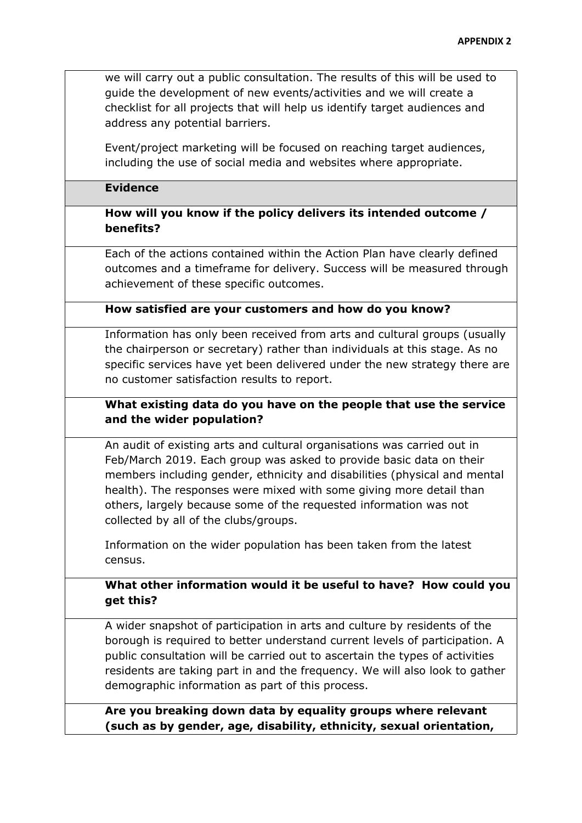we will carry out a public consultation. The results of this will be used to guide the development of new events/activities and we will create a checklist for all projects that will help us identify target audiences and address any potential barriers.

Event/project marketing will be focused on reaching target audiences, including the use of social media and websites where appropriate.

## **Evidence**

# **How will you know if the policy delivers its intended outcome / benefits?**

Each of the actions contained within the Action Plan have clearly defined outcomes and a timeframe for delivery. Success will be measured through achievement of these specific outcomes.

### **How satisfied are your customers and how do you know?**

Information has only been received from arts and cultural groups (usually the chairperson or secretary) rather than individuals at this stage. As no specific services have yet been delivered under the new strategy there are no customer satisfaction results to report.

# **What existing data do you have on the people that use the service and the wider population?**

An audit of existing arts and cultural organisations was carried out in Feb/March 2019. Each group was asked to provide basic data on their members including gender, ethnicity and disabilities (physical and mental health). The responses were mixed with some giving more detail than others, largely because some of the requested information was not collected by all of the clubs/groups.

Information on the wider population has been taken from the latest census.

# **What other information would it be useful to have? How could you get this?**

A wider snapshot of participation in arts and culture by residents of the borough is required to better understand current levels of participation. A public consultation will be carried out to ascertain the types of activities residents are taking part in and the frequency. We will also look to gather demographic information as part of this process.

**Are you breaking down data by equality groups where relevant (such as by gender, age, disability, ethnicity, sexual orientation,**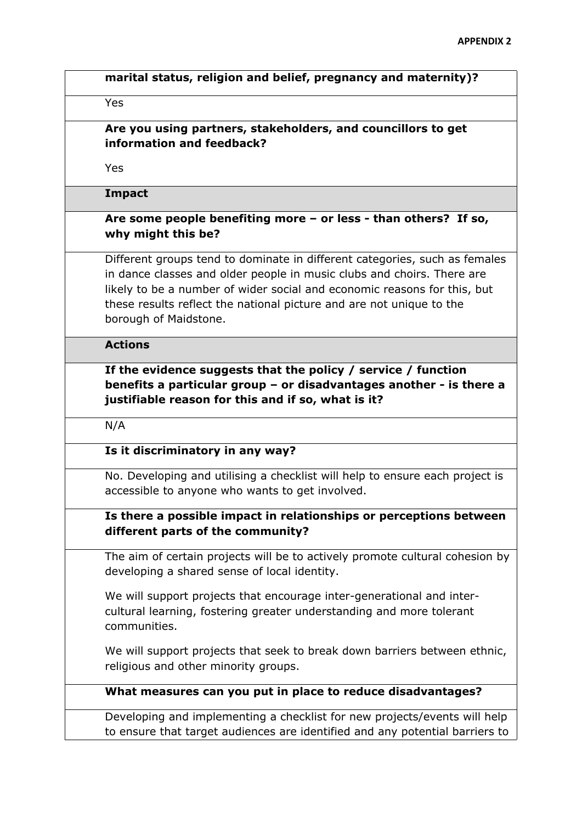|                     | marital status, religion and belief, pregnancy and maternity)?                                                                                                                                                                                                                                                                    |
|---------------------|-----------------------------------------------------------------------------------------------------------------------------------------------------------------------------------------------------------------------------------------------------------------------------------------------------------------------------------|
| Yes                 |                                                                                                                                                                                                                                                                                                                                   |
|                     | Are you using partners, stakeholders, and councillors to get<br>information and feedback?                                                                                                                                                                                                                                         |
| Yes                 |                                                                                                                                                                                                                                                                                                                                   |
| <b>Impact</b>       |                                                                                                                                                                                                                                                                                                                                   |
|                     | Are some people benefiting more $-$ or less - than others? If so,<br>why might this be?                                                                                                                                                                                                                                           |
|                     | Different groups tend to dominate in different categories, such as females<br>in dance classes and older people in music clubs and choirs. There are<br>likely to be a number of wider social and economic reasons for this, but<br>these results reflect the national picture and are not unique to the<br>borough of Maidstone. |
| <b>Actions</b>      |                                                                                                                                                                                                                                                                                                                                   |
|                     | If the evidence suggests that the policy / service / function<br>justifiable reason for this and if so, what is it?                                                                                                                                                                                                               |
|                     | benefits a particular group - or disadvantages another - is there a                                                                                                                                                                                                                                                               |
|                     | Is it discriminatory in any way?                                                                                                                                                                                                                                                                                                  |
|                     | No. Developing and utilising a checklist will help to ensure each project is<br>accessible to anyone who wants to get involved.                                                                                                                                                                                                   |
|                     | Is there a possible impact in relationships or perceptions between<br>different parts of the community?                                                                                                                                                                                                                           |
|                     | The aim of certain projects will be to actively promote cultural cohesion by<br>developing a shared sense of local identity.                                                                                                                                                                                                      |
| N/A<br>communities. | We will support projects that encourage inter-generational and inter-<br>cultural learning, fostering greater understanding and more tolerant                                                                                                                                                                                     |
|                     | We will support projects that seek to break down barriers between ethnic,<br>religious and other minority groups.                                                                                                                                                                                                                 |
|                     | What measures can you put in place to reduce disadvantages?                                                                                                                                                                                                                                                                       |